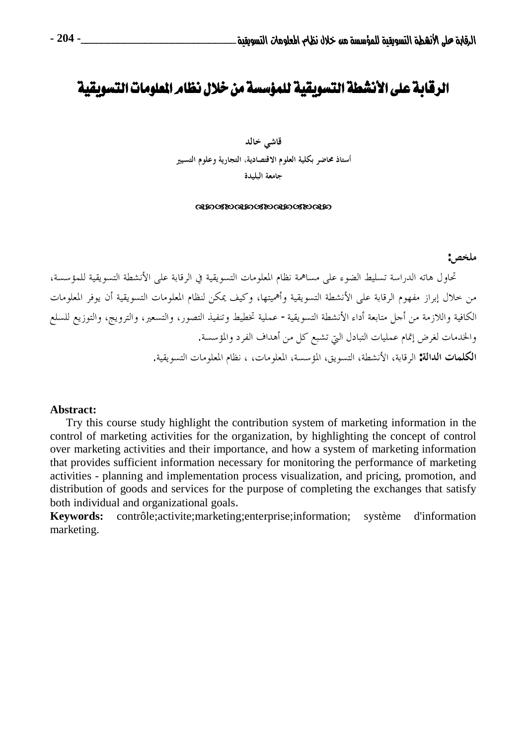# الرقابة على الأنشطة التسويقية للمؤسسة من خلال نظامر العلومات التسويقي

قاشي خالد أستاذ محاضر بكلية العلوم الاقتصادية، التجارية وعلوم التسيير جامعة البليدة

#### **ancroancroancroan**

ملخص:

تحاول هاته الدراسة تسليط الضوء على مساهمة نظام المعلومات التسويقية في الرقابة على الأنشطة التسويقية للمؤسسة، من خلال إبراز مفهوم الرقابة على الأنشطة التسويقية وأهميتها، وكيف يمكن لنظام المعلومات التسويقية أن يوفر المعلومات الكافية واللازمة من أجل متابعة أداء الأنشطة التسويقية– عملية تخطيط وتنفيذ التصور، والتسعير، والترويج، والتوزيع للسلع والخدمات لغرض إتمام عمليات التبادل التي تشبع كل من أهداف الفرد والمؤسسة. **الكلمات الدالة:** الرقابة، الأنشطة، التسويق، المؤسسة، المعلومات، ، نظام المعلومات التسويقية.

#### Abstract:

Try this course study highlight the contribution system of marketing information in the control of marketing activities for the organization, by highlighting the concept of control over marketing activities and their importance, and how a system of marketing information that provides sufficient information necessary for monitoring the performance of marketing activities - planning and implementation process visualization, and pricing, promotion, and distribution of goods and services for the purpose of completing the exchanges that satisfy both individual and organizational goals.

contrôle; activite; marketing; enterprise; information; **Keywords:** système d'information marketing.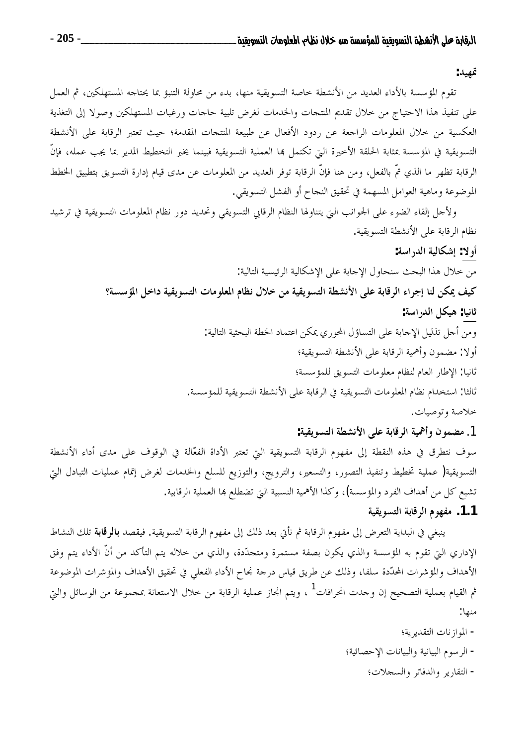قهيد:

تقوم المؤسسة بالأداء العديد من الأنشطة خاصة التسويقية منها، بدء من محاولة التنبؤ بما يحتاجه المستهلكين، ثم العمل على تنفيذ هذا الاحتياج من حلال تقديم المنتجات والخدمات لغرض تلبية حاجات ورغبات المستهلكين وصولا إلى التغذية العكسية من خلال المعلومات الراجعة عن ردود الأفعال عن طبيعة المنتجات المقدمة؛ حيث تعتبر الرقابة على الأنشطة التسويقية في المؤسسة بمثابة الحلقة الأخيرة التي تكتمل بما العملية التسويقية فبينما يخبر التخطيط المدير بما يجب عمله، فإنّ الرقابة تظهر ما الذي تمّ بالفعل، ومن هنا فإنّ الرقابة توفر العديد من المعلومات عن مدى قيام إدارة التسويق بتطبيق الخطط الموضوعة وماهية العوامل المسهمة في تحقيق النجاح أو الفشل التسويقي.

ولأجل إلقاء الضوء على الجوانب التي يتناولها النظام الرقابي التسويقي وتحديد دور نظام المعلومات التسويقية في ترشيد نظام الرقابة على الأنشطة التسويقية.

أولا: إشكالية الدراسة:

من حلال هذا البحث سنحاول الإحابة على الإشكالية الرئيسية التالية: كيف يمكن لنا إجراء الرقابة على الأنشطة التسويقية من خلال نظام المعلومات التسويقية داخل المؤسسة؟

### ثانيا: هيكل الدراسة:

ومن أحل تذليل الإحابة على التساؤل المحوري يمكن اعتماد الخطة البحثية التالية:

أولا: مضمون وأهمية الرقابة على الأنشطة التسويقية؛

ثانيا: الإطار العام لنظام معلومات التسويق للمؤسسة؛

ثالثاً: استخدام نظام المعلومات التسويقية في الرقابة على الأنشطة التسويقية للمؤسسة.

خلاصة وتوصيات.

1. مضمون وأهمية الرقابة على الأنشطة التسويقية:

سوف نتطرق في هذه النقطة إلى مفهوم الرقابة التسويقية التي تعتبر الأداة الفعّالة في الوقوف على مدى أداء الأنشطة التسويقية( عملية تخطيط وتنفيذ التصور، والتسعير، والترويج، والتوزيع للسلع والخدمات لغرض إتمام عمليات التبادل التي تشبع كل من أهداف الفرد والمؤسسة)، وكذا الأهمية النسبية التي تضطلع ها العملية الرقابية.

## 1.1. مفهوم الرقابة التسويقية

ينبغي في البداية التعرض إلى مفهوم الرقابة ثم نأتي بعد ذلك إلى مفهوم الرقابة التسويقية. فيقصد **بالوقابة** تلك النشاط الإداري التي تقوم به المؤسسة والذي يكون بصفة مستمرة ومتحدّدة، والذي من خلاله يتم التأكد من أنّ الأداء يتم وفق الأهداف والمؤشرات المحدّدة سلفا، وذلك عن طريق قياس درجة نجاح الأداء الفعلي في تحقيق الأهداف والمؤشرات الموضوعة ثم القيام بعملية التصحيح إن وحدت انحرافات<sup>1</sup> ، ويتم انجاز عملية الرقابة من خلال الاستعانة بمجموعة من الوسائل والتي منها:

> - الموازنات التقديرية؛ - الرسوم البيانية والبيانات الإحصائية؛ - التقارير والدفاتر والسجلات؛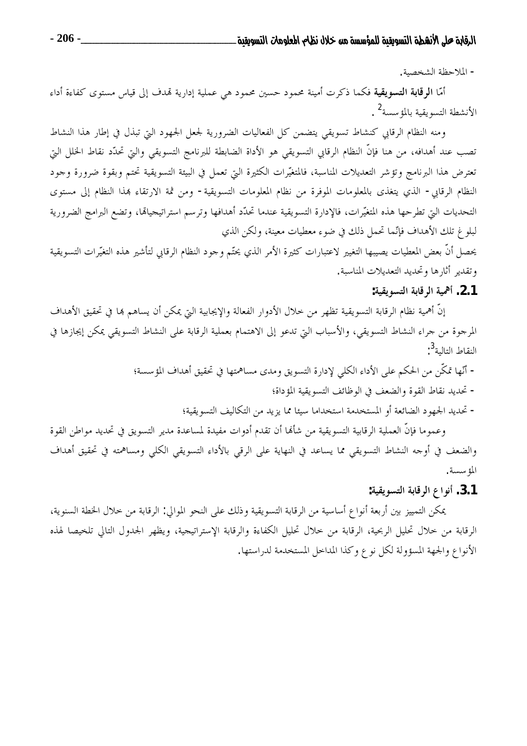- الملاحظة الشخصية.

أمّا ا**لرقابة التسويقية** فكما ذكرت أمينة محمود حسين محمود ه<sub>ى</sub> عملية إدارية تمدف إلى قياس مستوى كفاءة أداء الأنشطة التسويقية بالمؤسسة<sup>2</sup> .

ومنه النظام الرقابي كنشاط تسويقي يتضمن كل الفعاليات الضرورية لجعل الجهود التي تبذل في إطار هذا النشاط تصب عند أهدافه، من هنا فإنَّ النظام الرقابي التسويقي هو الأداة الضابطة للبرنامج التسويقي والتي تحدَّد نقاط الخلل التي تعترض هذا البرنامج وتؤشر التعديلات المناسبة، فالمتغيَّرات الكثيرة التي تعمل في البيئة التسويقية تحتم وبقوة ضرورة وجود النظام الرقابي- الذي يتغذى بالمعلومات الموفرة من نظام المعلومات التسويقية- ومن ثمة الارتقاء بمذا النظام إلى مستوى التحديات البيّ تطرحها هذه المتغيّرات، فالإدارة التسويقية عندما تحدّد أهدافها وترسم استراتيجيالها، وتضع البرامج الضرورية لبلوغ تلك الأهداف فإنَّما تحمل ذلك في ضوء معطيات معينة، ولكن الذي

يحصل أنَّ بعض المعطيات يصيبها التغيير لاعتبارات كثيرة الأمر الذي يحتّم وجود النظام الرقابي لتأشير هذه التغيّرات التسويقية وتقدير أثارها وتحديد التعديلات المناسبة.

### 2.1. أهمية الرقابة التسويقية:

إنَّ أهمية نظام الرقابة التسويقية تظهر من حلال الأدوار الفعالة والإيجابية التي يمكن أن يساهم ها في تحقيق الأهداف المرجوة من جراء النشاط التسويقي، والأسباب التي تدعو إلى الاهتمام بعملية الرقابة على النشاط التسويقي يمكن إيجازها في النقاط التالية<sup>5</sup>:

– أنَّها تمكَّن من الحكم على الأداء الكلي لإدارة التسويق ومدى مساهمتها في تحقيق أهداف المؤسسة؛

- تحديد نقاط القوة والضعف في الوظائف التسويقية المؤداة؛

– تحديد الجهود الضائعة أو المستخدمة استخداما سيئا مما يزيد من التكاليف التسويقية؛

وعموما فإنَّ العملية الرقابية التسويقية من شألها أن تقدم أدوات مفيدة لمساعدة مدير التسويق في تحديد مواطن القوة والضعف في أوجه النشاط التسويقي مما يساعد في النهاية على الرقي بالأداء التسويقي الكلي ومساهمته في تحقيق أهداف المؤسسة.

### 3.1. أنواع الرقابة التسويقية:

يمكن التمييز بين أربعة أنواع أساسية من الرقابة التسويقية وذلك على النحو الموالي: الرقابة من حلال الخطة السنوية، الرقابة من حلال تحليل الربحية، الرقابة من حلال تحليل الكفاءة والرقابة الإستراتيجية، ويظهر الجدول التالي تلخيصا لهذه الأنواع والجهة المسؤولة لكل نوع وكذا المداحل المستخدمة لدراستها.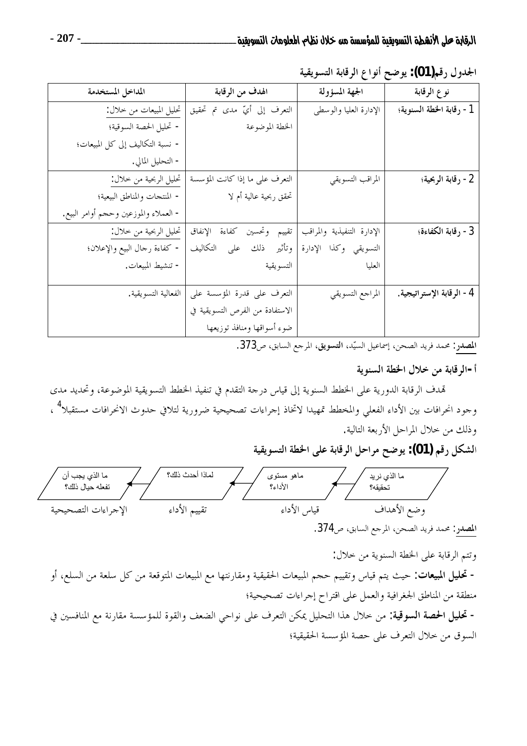الجدول رقم(01): يوضح أنواع الرقابة التسويقية

| المداخل المستخدمة                     | الهدف من الرقابة                | الجهة المسؤولة             | نوع الرقابة              |
|---------------------------------------|---------------------------------|----------------------------|--------------------------|
| تحليل المبيعات من حلال:               | التعرف إلى أيِّ مدى تم تحقيق    | الإدارة العليا والوسطى     | 1- رقابة الخطة السنوية؛  |
| - تحليل الحصة السوقية؛                | الخطة الموضوعة                  |                            |                          |
| - نسبة التكاليف إلى كل المبيعات؛      |                                 |                            |                          |
| - التحليل المالي.                     |                                 |                            |                          |
| تحليل الربحية من خلال:                | التعرف على ما إذا كانت المؤسسة  | المراقب التسويقي           | 2- رقابة الربحية؛        |
| - المنتجات والمناطق البيعية؛          | تحقق ربحية عالية أم لا          |                            |                          |
| - العملاء والموزعين وحجم أوامر البيع. |                                 |                            |                          |
| تحليل الربحية من خلال:                | تقييم وتحسين كفاءة الإنفاق      | الإدارة التنفيذية والمراقب | 3 - رقابة الكفاءة؛       |
| - كفاءة رحال البيع والإعلان؛          | وتأثير ذلك على التكاليف         | التسويقى وكذا الإدارة      |                          |
| - تنشيط المبيعات.                     | التسويقية                       | العليا                     |                          |
|                                       |                                 |                            |                          |
| الفعالية التسويقية.                   | التعرف على قدرة المؤسسة على     | المراجع التسويقي           | 4- الرقابة الإستراتيجية. |
|                                       | الاستفادة من الفرص التسويقية في |                            |                          |
|                                       | ضوء أسواقها ومنافذ توزيعها      |                            |                          |

المصدر: محمد فريد الصحن، إسماعيل السيّد، التسويق، المرجع السابق، ص373.

## أ-الر قابة من خلال الخطة السنوية

تمدف الرقابة الدورية على الخطط السنوية إلى قياس درجة التقدم في تنفيذ الخطط التسويقية الموضوعة، وتحديد مدى وجود انحرافات بين الأداء الفعلى والمخطط تمهيدا لاتخاذ إجراءات تصحيحية ضرورية لتلافي حدوث الانحرافات مستقبلا<sup>4</sup> ، وذلك من خلال المراحل الأربعة التالية.

الشكل رقم (01): يوضح مراحل الرقابة على الخطة التسويقية



وتتم الرقابة على الخطة السنوية من خلال: **- تحليل المبيعات:** حيث يتم قياس وتقييم حجم المبيعات الحقيقية ومقارنتها مع المبيعات المتوقعة من كل سلعة من السلع، أو منطقة من المناطق الجغرافية والعمل على اقتراح إجراءات تصحيحية؛ - تحليل الحصة السوقية: من حلال هذا التحليل يمكن التعرف على نواحي الضعف والقوة للمؤسسة مقارنة مع المنافسين في السوق من خلال التعرف على حصة المؤسسة الحقيقية؛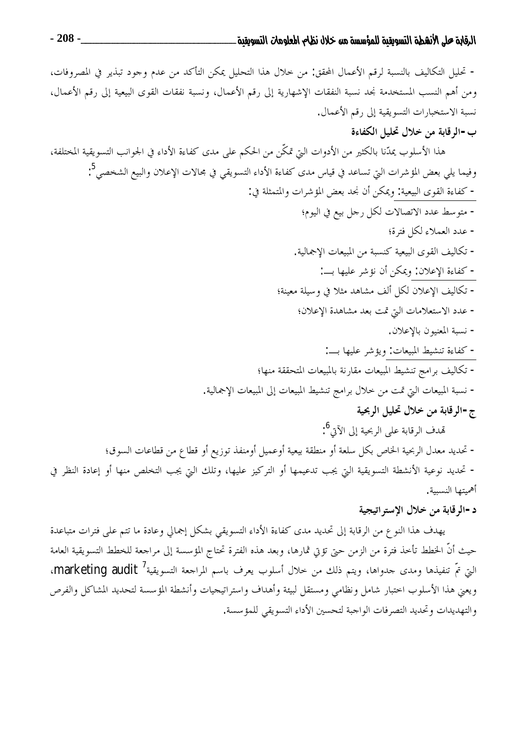#### ب-الرقابة من خلال تحليل الكفاءة

هذا الأسلوب يمدّنا بالكثير من الأدوات التي تمكّن من الحكم على مدى كفاءة الأداء في الجوانب التسويقية المختلفة، وفيما يلي بعض المؤشرات التي تساعد في قياس مدى كفاءة الأداء التسويقي في محالات الإعلان والبيع الشخصي<sup>5</sup>: - كفاءة القوى البيعية: ويمكن أن نجد بعض المؤشرات والمتمثلة في: - متوسط عدد الاتصالات لكل رجل بيع في اليوم؛ – عدد العملاء لكل فترة؛ – تكاليف القوى البيعية كنسبة من المبيعات الإجمالية. - كفاءة الإعلان: ويمكن أن نؤشر عليها بـــ: – تكاليف الإعلان لكل ألف مشاهد مثلاً في وسيلة معينة؛ - عدد الاستعلامات التي تمت بعد مشاهدة الإعلان؛ – نسبة المعنيون بالإعلان. - كفاءة تنشيط المبيعات: ويؤشر عليها بــ: – تكاليف برامج تنشيط المبيعات مقارنة بالمبيعات المتحققة منها؛ – نسبة المبيعات التي تمت من خلال برامج تنشيط المبيعات إلى المبيعات الإجمالية. ج-الرقابة من خلال تحليل الربحية تمدف الرقابة على الربحية إلى الآني<sup>6</sup>: – تحديد معدل الربحية الخاص بكل سلعة أو منطقة بيعية أوعميل أومنفذ توزيع أو قطاع من قطاعات السوق؛

– تحديد نوعية الأنشطة التسويقية التي يجب تدعيمها أو التركيز عليها، وتلك التي يجب التخلص منها أو إعادة النظر في أهميتها النسبية.

#### د-الر قابة من خلال الاستر اتيجية

يهدف هذا النوع من الرقابة إلى تحديد مدى كفاءة الأداء التسويقي بشكل إجمالي وعادة ما تتم على فترات متباعدة حيث أنَّ الخطط تأخذ فترة من الزمن حتى تؤتى ثمارها، وبعد هذه الفترة تحتاج المؤسسة إلى مراجعة للخطط التسويقية العامة التي تمّ تنفيذها ومدى جدواها، ويتم ذلك من خلال أسلوب يعرف باسم المراجعة التسويقية ُ' marketing audit، ويعني هذا الأسلوب احتبار شامل ونظامي ومستقل لبيئة وأهداف واستراتيجيات وأنشطة المؤسسة لتحديد المشاكل والفرص والتهديدات وتحديد التصرفات الواجبة لتحسين الأداء التسويقي للمؤسسة.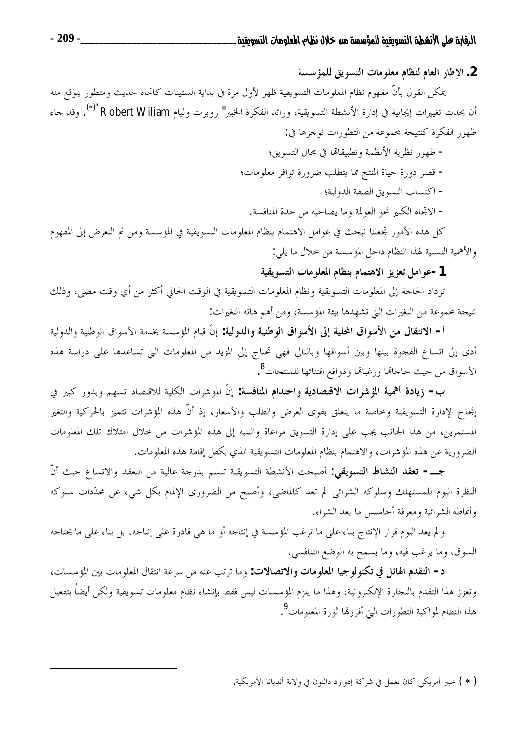2. الإطار العام لنظام معلومات التسويق للمؤسسة

يمكن القول بأنَّ مفهوم نظام المعلومات التسويقية ظهر لأول مرة في بداية الستينات كاتجاه حديث ومتطور يتوقع منه أن يحدث تغييرات إيجابية في إدارة الأنشطة التسويقية، ورائد الفكرة الخبير" روبرت وليام Robert Wiliam "(\*). وقد حاء ظهور الفكرة كنتيجة لمحموعة من التطورات نوجزها في:

- ظهور نظرية الأنظمة وتطبيقاها في محال التسويق؛ - قصر دورة حياة المنتج مما يتطلب ضرورة توافر معلومات؛
	- اكتساب التسويق الصفة الدولية؛
	- الاتجاه الكبير نحو العولمة وما يصاحبه من حدة المنافسة.

كل هذه الأمور تجعلنا نبحث في عوامل الاهتمام بنظام المعلومات التسويقية في المؤسسة ومن ثم التعرض إلى المفهوم والأهمية النسبية لهذا النظام داخل المؤسسة من حلال ما يلي:

# 1-عوامل تعزيز الاهتمام بنظام المعلومات التسويقية

تزداد الحاجة إلى المعلومات التسويقية ونظام المعلومات التسويقية في الوقت الحالي أكثر من أي وقت مضى، وذلك نتيجة لمحموعة من التغيرات التي تشهدها بيئة المؤسسة، ومن أهم هاته التغيرات:

أ- الانتقال من الأسواق المحلية إلى الأسواق الوطنية والدولية: إنَّ قيام المؤسسة بخدمة الأسواق الوطنية والدولية أدى إلى اتساع الفجوة بينها وبين أسواقها وبالتالي فهي تحتاج إلى المزيد من المعلومات التي تساعدها على دراسة هذه الأسواق من حيث حاجالها ورغبالها ودوافع اقتنائها للمنتجات<sup>8</sup> .

ب- زيادة أهمية المؤشرات الاقتصادية واحتدام المنافسة: إنَّ المؤشرات الكلية للاقتصاد تسهم وبدور كبير في إنجاح الإدارة التسويقية وحاصة ما يتعلق بقوى العرض والطلب والأسعار، إذ أنَّ هذه المؤشرات تتميز بالحركية والتغير المستمرين، من هذا الجانب يجب على إدارة التسويق مراعاة والتنبه إلى هذه المؤشرات من حلال امتلاك تلك المعلومات الضرورية عن هذه المؤشرات، والاهتمام بنظام المعلومات التسويقية الذي يكفل إقامة هذه المعلومات.

جــــ- تعقد النشاط التسويقي: أصبحت الأنشطة التسويقية تتسم بدرجة عالية من التعقد والاتساع حيث أنّ النظرة اليوم للمستهلك وسلوكه الشرائي لم تعد كالماضي، وأصبح من الضروري الإلمام بكل شيء عن محدّدات سلوكه وأنماطه الشرائية ومعرفة أحاسيس ما بعد الشراء.

و لم يعد اليوم قرار الإنتاج بناء على ما ترغب المؤسسة في إنتاجه أو ما هي قادرة على إنتاجه. بل بناء على ما يحتاجه السوق، وما يرغب فيه، وما يسمح به الوضع التنافسي.

د- التقدم الهائل في تكنولوجيا المعلومات والاتصالات: وما ترتب عنه من سرعة انتقال المعلومات بين المؤسسات، وتعزز هذا التقدم بالتجارة الإلكترونية، وهذا ما يلزم المؤسسات ليس فقط بإنشاء نظام معلومات تسويقية ولكن أيضاً بتفعيل هذا النظام لمواكبة التطورات التيّ أفرزتما ثورة المعلومات<sup>9</sup>.

( \* ) خبير أمريكي كان يعمل في شركة إدوارد دالتون في ولاية أنديانا الأمريكية.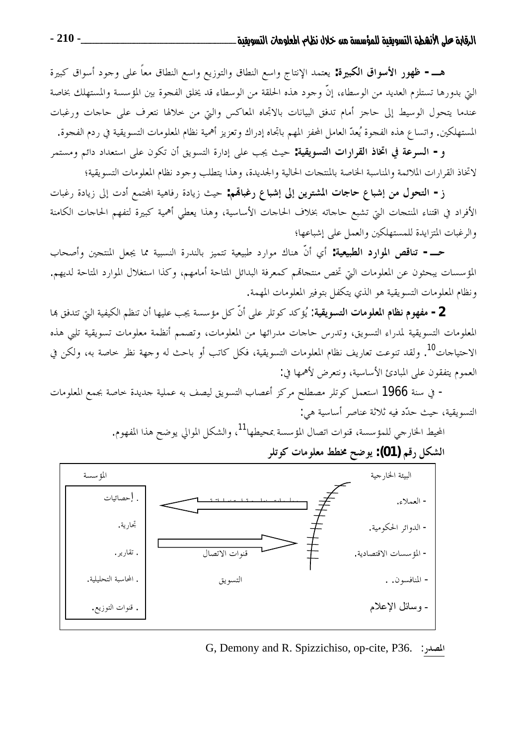هـــــ ظهور الأسواق الكبيرة: يعتمد الإنتاج واسع النطاق والتوزيع واسع النطاق معاً على وجود أسواق كبيرة التي بدورها تستلزم العديد من الوسطاء، إنَّ وجود هذه الحلقة من الوسطاء قد يخلق الفجوة بين المؤسسة والمستهلك بخاصة عندما يتحول الوسيط إلى حاجز أمام تدفق البيانات بالاتجاه المعاكس والتي من حلالها نتعرف على حاجات ورغبات المستهلكين. واتساع هذه الفجوة يُعدّ العامل المحفز المهم باتجاه إدراك وتعزيز أهمية نظام المعلومات التسويقية في ردم الفجوة.

و – السوعة في اتخاذ القرارات التسويقية: حيث يجب على إدارة التسويق أن تكون على استعداد دائم ومستمر لاتخاذ القرارات الملائمة والمناسبة الخاصة بالمنتجات الحالية والجديدة، وهذا يتطلب وجود نظام المعلومات التسويقية؛

ز – التحول من إشباع حاجات المشترين إلى إشباع رغبالهم: حيث زيادة رفاهية المحتمع أدت إلى زيادة رغبات الأفراد في اقتناء المنتجات التي تشبع حاجاته بخلاف الحاجات الأساسية، وهذا يعطي أهمية كبيرة لتفهم الحاجات الكامنة والرغبات المتزايدة للمستهلكين والعمل على إشباعها؛

حـــــ تناقص الموارد الطبيعية: أي أنّ هناك موارد طبيعية تتميز بالندرة النسبية مما يجعل المنتجين وأصحاب المؤسسات يبحثون عن المعلومات التي تخص منتجاقمم كمعرفة البدائل المتاحة أمامهم، وكذا استغلال الموارد المتاحة لديهم. ونظام المعلومات التسويقية هو الذي يتكفل بتوفير المعلومات المهمة.

2 **– مفهوم نظام المعلومات التسويقية:** يُؤكد كوتلر على أنَّ كل مؤسسة يجب عليها أن تنظم الكيفية التي تتدفق هما المعلومات التسويقية لمدراء التسويق، وتدرس حاجات مدرائها من المعلومات، وتصمم أنظمة معلومات تسويقية تلبي هذه الاحتياجات". ولقد تنوعت تعاريف نظام المعلومات التسويقية، فكل كاتب أو باحث له وجهة نظر خاصة به، ولكن في العموم يتفقون على المبادئ الأساسية، ونتعرض لأهمها في:

- في سنة 1966 استعمل كوتلر مصطلح مركز أعصاب التسويق ليصف به عملية جديدة حاصة بجمع المعلومات التسويقية، حيث حدَّد فيه ثلاثة عناصر أساسية هي:

المحيط الخارجي للمؤسسة، قنوات اتصال المؤسسة بمحيطها<sup>11</sup>، والشكل الموالي يوضح هذا المفهوم.



G, Demony and R. Spizzichiso, op-cite, P36. :المصدر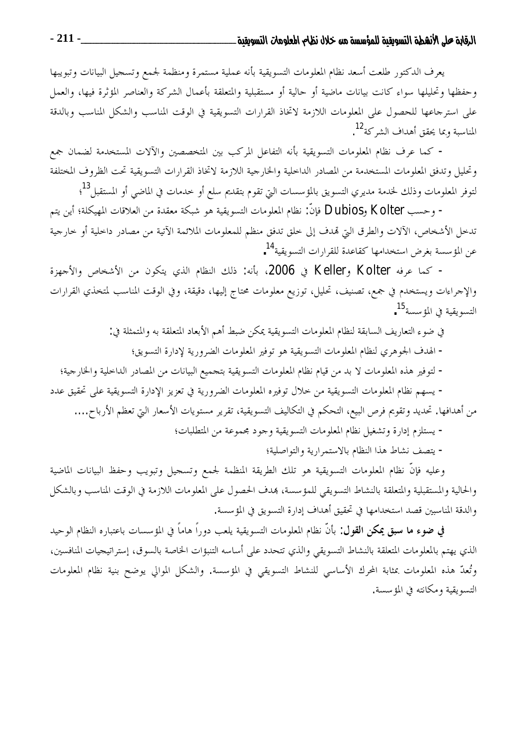يعرف الدكتور طلعت أسعد نظام المعلومات التسويقية بأنه عملية مستمرة ومنظمة لجمع وتسجيل البيانات وتبويبها وحفظها وتحليلها سواء كانت بيانات ماضية أو حالية أو مستقبلية والمتعلقة بأعمال الشركة والعناصر المؤثرة فيها، والعمل على استرجاعها للحصول على المعلومات اللازمة لاتخاذ القرارات التسويقية في الوقت المناسب والشكل المناسب وبالدقة المناسبة وبما يحقق أهداف الشركة<sup>12</sup>.

- كما عرف نظام المعلومات التسويقية بأنه التفاعل المركب بين المتخصصين والآلات المستخدمة لضمان جمع وتحليل وتدفق المعلومات المستخدمة من المصادر الداحلية والخارجية اللازمة لاتخاذ القرارات التسويقية تحت الظروف المختلفة لتوفر المعلومات وذلك لخدمة مديري التسويق بالمؤسسات التي تقوم بتقديم سلع أو خدمات في الماضي أو المستقبل<sup>13</sup>؛

- وحسب Dubios , Kolter فإنَّ: نظام المعلومات التسويقية هو شبكة معقدة من العلاقات المهيكلة؛ أين يتم تدخل الأشخاص، الآلات والطرق التي تمدف إلى خلق تدفق منظم للمعلومات الملائمة الآتية من مصادر داخلية أو خارجية عن المؤ سسة بغرض استخدامها كقاعدة للقرارات التسويقية<sup>14</sup>.

- كما عرفه Keller وKeller في 2006، بأنه: ذلك النظام الذي يتكون من الأشخاص والأجهزة والإحراءات ويستخدم في جمع، تصنيف، تحليل، توزيع معلومات محتاج إليها، دقيقة، وفي الوقت المناسب لمتخذي القرارات التسويقية في المؤسسة 15.

في ضوء التعاريف السابقة لنظام المعلومات التسويقية يمكن ضبط أهم الأبعاد المتعلقة به والمتمثلة في:

- الهدف الجوهري لنظام المعلومات التسويقية هو توفير المعلومات الضرورية لإدارة التسويق؛
- لتوفير هذه المعلومات لا بد من قيام نظام المعلومات التسويقية بتحميع البيانات من المصادر الداخلية والخارجية؛

– يسهم نظام المعلومات التسويقية من حلال توفيره المعلومات الضرورية في تعزيز الإدارة التسويقية على تحقيق عدد من أهدافها. تحديد وتقويم فرص البيع، التحكم في التكاليف التسويقية، تقرير مستويات الأسعار التي تعظم الأرباح....

– يستلزم إدارة وتشغيل نظام المعلومات التسويقية وجود مجموعة من المتطلبات؛

- يتصف نشاط هذا النظام بالاستمرارية والتواصلية؛

وعليه فإنَّ نظام المعلومات التسويقية هو تلك الطريقة المنظمة لجمع وتسحيل وتبويب وحفظ البيانات الماضية والحالية والمستقبلية والمتعلقة بالنشاط التسويقي للمؤسسة، هدف الحصول على المعلومات اللازمة في الوقت المناسب وبالشكل والدقة المناسبين قصد استخدامها في تحقيق أهداف إدارة التسويق في المؤسسة.

في ضوء ما سبق يمكن القول: بأنَّ نظام المعلومات التسويقية يلعب دوراً هاماً في المؤسسات باعتباره النظام الوحيد الذي يهتم بالمعلومات المتعلقة بالنشاط التسويقي والذي تتحدد على أساسه التنبؤات الخاصة بالسوق، إستراتيجيات المنافسين، وتُعدّ هذه المعلومات بمثابة المحرك الأساسي للنشاط التسويقي في المؤسسة. والشكل الموالي يوضح بنية نظام المعلومات التسويقية ومكانته في المؤسسة.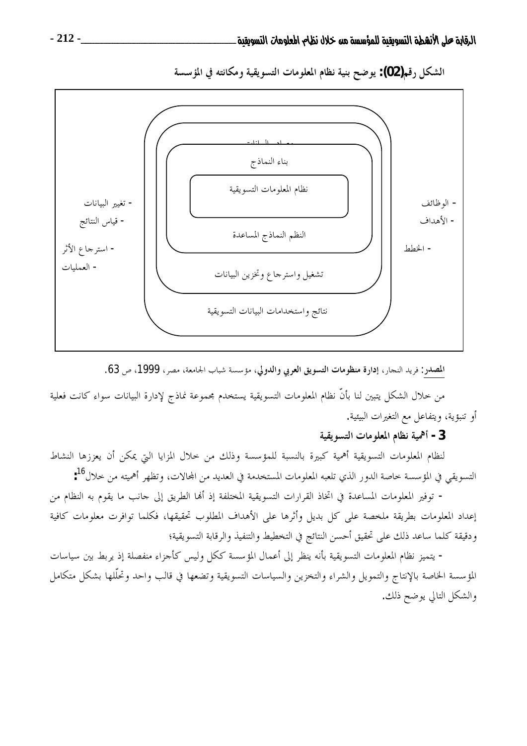

الشكل رقم(02): يوضح بنية نظام المعلومات التسويقية ومكانته في المؤسسة

المصدر: فريد النجار، إدارة منظومات التسويق العربي والدولي، مؤسسة شباب الجامعة، مصر، 1999، ص 63.

من خلال الشكل يتبين لنا بأنّ نظام المعلومات التسويقية يستخدم مجموعة نماذج لإدارة البيانات سواء كانت فعلية أو تنبؤية، ويتفاعل مع التغيرات البيئية.

## 3 - أهمية نظام المعلومات التسويقية

لنظام المعلومات التسويقية أهمية كبيرة بالنسبة للمؤسسة وذلك من حلال المزايا التي يمكن أن يعززها النشاط التسويقي في المؤسسة خاصة الدور الذي تلعبه المعلومات المستخدمة في العديد من المحالات، وتظهر أهميته من خلال<sup>16</sup>:

– توفير المعلومات المساعدة في اتخاذ القرارات التسويقية المختلفة إذ ألها الطريق إلى جانب ما يقوم به النظام من إعداد المعلومات بطريقة ملخصة على كل بديل وأثرها على الأهداف المطلوب تحقيقها، فكلما توافرت معلومات كافية ودقيقة كلما ساعد ذلك على تحقيق أحسن النتائج في التخطيط والتنفيذ والرقابة التسويقية؛

– يتميز نظام المعلومات التسويقية بأنه ينظر إلى أعمال المؤسسة ككل وليس كأجزاء منفصلة إذ يربط بين سياسات المؤسسة الخاصة بالإنتاج والتمويل والشراء والتخزين والسياسات التسويقية وتضعها في قالب واحد وتحلُّلها بشكل متكامل والشكل التالي يوضح ذلك.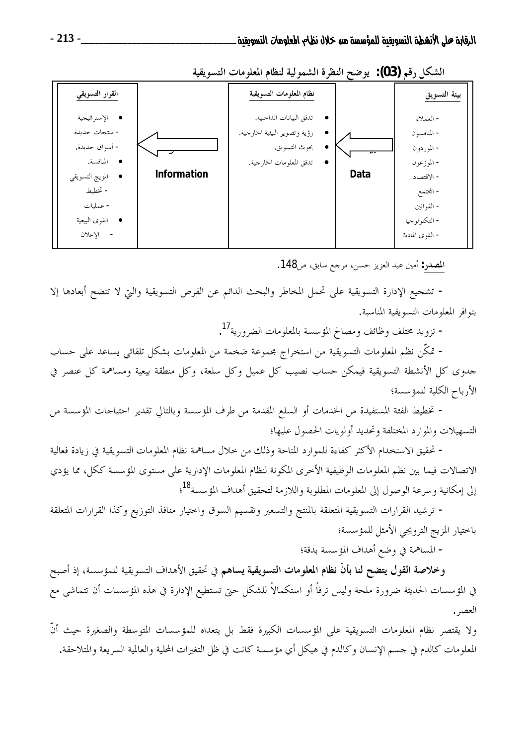| القرار التسويقي                                                                                                                               |             | نظام المعلومات التسويقية                                                                              |                                  | بيئة التسويق                                                                                                                      |
|-----------------------------------------------------------------------------------------------------------------------------------------------|-------------|-------------------------------------------------------------------------------------------------------|----------------------------------|-----------------------------------------------------------------------------------------------------------------------------------|
| • الإستراتيجية<br>- منتجات جديدة<br>- أسواق جديدة.<br>• المنافسة.<br>• المزيج التسويقي<br>- تخطيط<br>- عملیات<br>● القوى البيعية<br>- الإعلان | Information | تدفق البيانات الداخلية.<br>رؤية وتصوير البيئية الخارجية.<br>بحوث التسويق.<br>تدفق المعلومات الخارجية. | $\overline{\phantom{a}}$<br>Data | - العملاء<br>– المنافسون<br>– الموردون<br>– الموزعون<br>- الاقتصاد<br>– المحتمع<br>– القوانين<br>- التكنولوجيا<br>– القوى المادية |

الشكل رقم (03): يوضح النظرة الشمولية لنظام المعلومات التسويقية

المصدر: أمين عبد العزيز حسن، مرحع سابق، ص148.

– تشجيع الإدارة التسويقية على تحمل المخاطر والبحث الدائم عن الفرص التسويقية والتي لا تتضح أبعادها إلا بتوافر المعلومات التسويقية المناسبة.

– تزويد مختلف وظائف ومصالح المؤسسة بالمعلومات الضرورية<sup>17</sup>.

– تمكُّن نظم المعلومات التسويقية من استخراج مجموعة ضخمة من المعلومات بشكل تلقائي يساعد على حساب جدوى كل الأنشطة التسويقية فيمكن حساب نصيب كل عميل وكل سلعة، وكل منطقة بيعية ومساهمة كل عنصر في الأرباح الكلية للمؤسسة؛

- تخطيط الفئة المستفيدة من الخدمات أو السلع المقدمة من طرف المؤسسة وبالتالي تقدير احتياحات المؤسسة من التسهيلات والموارد المختلفة وتحديد أولويات الحصول عليها؛

– تحقيق الاستخدام الأكثر كفاءة للموارد المتاحة وذلك من حلال مساهمة نظام المعلومات التسويقية في زيادة فعالية الاتصالات فيما بين نظم المعلومات الوظيفية الأخرى المكونة لنظام المعلومات الإدارية على مستوى المؤسسة ككل، مما يؤدي إلى إمكانية وسرعة الوصول إلى المعلومات المطلوبة واللازمة لتحقيق أهداف المؤسسة<sup>18</sup>؛

– ترشيد القرارات التسويقية المتعلقة بالمنتج والتسعير وتقسيم السوق واختيار منافذ التوزيع وكذا القرارات المتعلقة باختيار المزيج الترويجي الأمثل للمؤسسة؛

– المساهمة في وضع أهداف المؤسسة بدقة؛

وخلاصة القول يتضح لنا بأنّ نظام المعلومات التسويقية يساهم في تحقيق الأهداف التسويقية للمؤسسة، إذ أصبح في المؤسسات الحديثة ضرورة ملحة وليس ترفاً أو استكمالاً للشكل حتى تستطيع الإدارة في هذه المؤسسات أن تتماشى مع العصر .

ولا يقتصر نظام المعلومات التسويقية على المؤسسات الكبيرة فقط بل يتعداه للمؤسسات المتوسطة والصغيرة حيث أنّ المعلومات كالدم في حسم الإنسان وكالدم في هيكل أي مؤسسة كانت في ظل التغيرات المحلية والعالمية السريعة والمتلاحقة.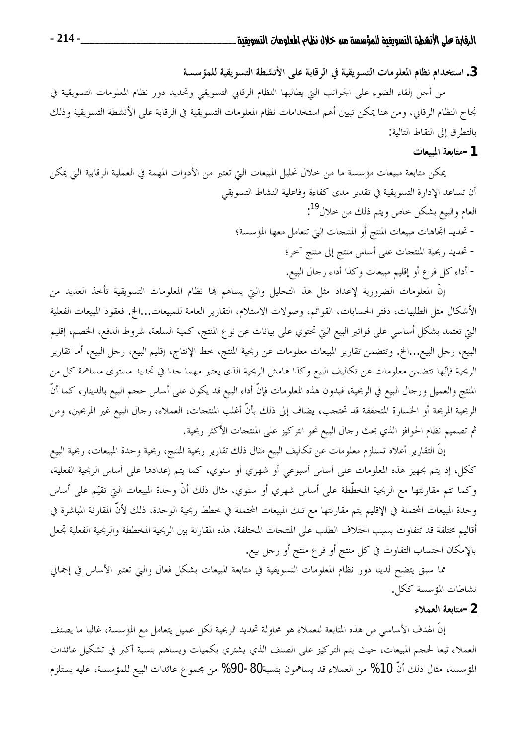3. استخدام نظام المعلومات التسويقية في الرقابة على الأنشطة التسويقية للمؤسسة

من أحل إلقاء الضوء على الجوانب التي يطالبها النظام الرقابي التسويقي وتحديد دور نظام المعلومات التسويقية في نجاح النظام الرقابي، ومن هنا يمكن تبيين أهم استخدامات نظام المعلومات التسويقية في الرقابة على الأنشطة التسويقية وذلك بالتطرق إلى النقاط التالية:

#### 1-متابعة المبيعات

يمكن متابعة مبيعات مؤسسة ما من حلال تحليل المبيعات التي تعتبر من الأدوات المهمة في العملية الرقابية التي يمكن أن تساعد الإدارة التسويقية في تقدير مدى كفاءة وفاعلية النشاط التسويقي العام والبيع بشكل حاص ويتم ذلك من حلال<sup>19</sup>: – تحديد اتحاهات مبيعات المنتج أو المنتحات التي تتعامل معها المؤسسة؛ – تحديد ربحية المنتجات على أساس منتج إلى منتج آخر؛ – أداء كل فرع أو إقليم مبيعات وكذا أداء رحال البيع.

إنَّ المعلومات الضرورية لإعداد مثل هذا التحليل والتي يساهم هما نظام المعلومات التسويقية تأخذ العديد من الأشكال مثل الطلبيات، دفتر الحسابات، القوائم، وصولات الاستلام، التقارير العامة للمبيعات...الخ. فعقود المبيعات الفعلية التي تعتمد بشكل أساسي على فواتير البيع التي تحتوي على بيانات عن نوع المنتج، كمية السلعة، شروط الدفع، الخصم، إقليم البيع، رحل البيع...الخ. وتتضمن تقارير المبيعات معلومات عن ربحية المنتج، خط الإنتاج، إقليم البيع، رحل البيع، أما تقارير الربحية فإنّها تتضمن معلومات عن تكاليف البيع وكذا هامش الربحية الذي يعتبر مهما حدا في تحديد مستوى مساهمة كل من المنتج والعميل ورحال البيع في الربحية، فبدون هذه المعلومات فإنّ أداء البيع قد يكون على أساس حجم البيع بالدينار، كما أنّ الربحية المربحة أو الحسارة المتحققة قد تحتجب، يضاف إلى ذلك بأنَّ أغلب المنتجات، العملاء، رجال البيع غير المربحين، ومن ثم تصميم نظام الحوافز الذي يحث رحال البيع نحو التركيز على المنتجات الأكثر ربحية.

إنَّ التقارير أعلاه تستلزم معلومات عن تكاليف البيع مثال ذلك تقارير ربحية المنتج، ربحية وحدة المبيعات، ربحية البيع ككل، إذ يتم تجهيز هذه المعلومات على أساس أسبوعي أو شهري أو سنوي، كما يتم إعدادها على أساس الربحية الفعلية، وكما تتم مقارنتها مع الربحية المخطَّطة على أساس شهري أو سنوي، مثال ذلك أنَّ وحدة المبيعات التي تقيَّم على أساس وحدة المبيعات المحتملة في الإقليم يتم مقارنتها مع تلك المبيعات المحتملة في خطط ربحية الوحدة، ذلك لأنّ المقارنة المباشرة في أقاليم مختلفة قد تتفاوت بسبب اختلاف الطلب على المنتجات المختلفة، هذه المقارنة بين الربحية المخططة والربحية الفعلية تجعل بالإمكان احتساب التفاوت في كل منتج أو فرع منتج أو رحل بيع.

مما سبق يتضح لدينا دور نظام المعلومات التسويقية في متابعة المبيعات بشكل فعال والتي تعتبر الأساس في إجمالي نشاطات المؤسسة ككل.

#### 2-متابعة العملاء

إنَّ الهدف الأساسي من هذه المتابعة للعملاء هو محاولة تحديد الربحية لكل عميل يتعامل مع المؤسسة، غالبا ما يصنف العملاء تبعا لحجم المبيعات، حيث يتم التركيز على الصنف الذي يشتري بكميات ويساهم بنسبة أكبر في تشكيل عائدات المؤسسة، مثال ذلك أنّ 10% من العملاء قد يساهمون بنسبة80-90% من مجموع عائدات البيع للمؤسسة، عليه يستلزم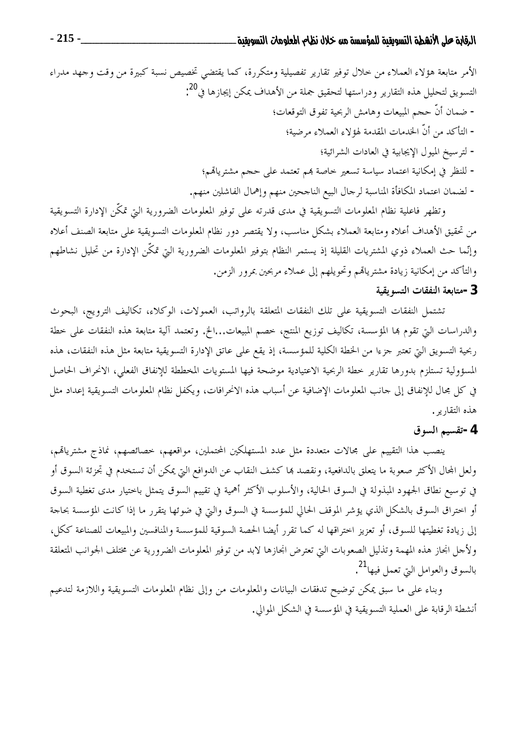وتظهر فاعلية نظام المعلومات التسويقية في مدى قدرته على توفير المعلومات الضرورية التي تمكَّن الإدارة التسويقية من تحقيق الأهداف أعلاه ومتابعة العملاء بشكل مناسب، ولا يقتصر دور نظام المعلومات التسويقية على متابعة الصنف أعلاه وإنَّما حث العملاء ذوي المشتريات القليلة إذ يستمر النظام بتوفير المعلومات الضرورية التي تمكَّن الإدارة من تحليل نشاطهم والتأكد من إمكانية زيادة مشترياقمم وتحويلهم إلى عملاء مربحين بمرور الزمن.

#### 3 -متابعة النفقات التسويقية

تشتمل النفقات التسويقية على تلك النفقات المتعلقة بالرواتب، العمولات، الوكلاء، تكاليف الترويج، البحوث والدراسات التي تقوم بما المؤسسة، تكاليف توزيع المنتج، خصم المبيعات...الخ. وتعتمد آلية متابعة هذه النفقات على خطة ربحية التسويق التي تعتبر حزءا من الخطة الكلية للمؤسسة، إذ يقع على عاتق الإدارة التسويقية متابعة مثل هذه النفقات، هذه المسؤولية تستلزم بدورها تقارير حطة الربحية الاعتيادية موضحة فيها المستويات المخططة للإنفاق الفعلى، الانحراف الحاصل في كل محال للإنفاق إلى حانب المعلومات الإضافية عن أسباب هذه الانحرافات، ويكفل نظام المعلومات التسويقية إعداد مثل هذه التقارير .

### 4-تقسيم السوق

ينصب هذا التقييم على مجالات متعددة مثل عدد المستهلكين المحتملين، مواقعهم، خصائصهم، نماذج مشترياقم، ولعل المحال الأكثر صعوبة ما يتعلق بالدافعية، ونقصد ها كشف النقاب عن الدوافع التي يمكن أن تستخدم في تحزئة السوق أو في توسيع نطاق الجهود المبذولة في السوق الحالية، والأسلوب الأكثر أهمية في تقييم السوق يتمثل باختيار مدى تغطية السوق أو اختراق السوق بالشكل الذي يؤشر الموقف الحالي للمؤسسة في السوق والتي في ضوئها يتقرر ما إذا كانت المؤسسة بحاجة إلى زيادة تغطيتها للسوق، أو تعزيز احتراقها له كما تقرر أيضا الحصة السوقية للمؤسسة والمنافسين والمبيعات للصناعة ككل، ولأجل انجاز هذه المهمة وتذليل الصعوبات التي تعترض انجازها لابد من توفير المعلومات الضرورية عن مختلف الجوانب المتعلقة بالسوق والعوامل التي تعمل فيها<sup>21</sup>.

وبناء على ما سبق يمكن توضيح تدفقات البيانات والمعلومات من وإلى نظام المعلومات التسويقية واللازمة لتدعيم أنشطة الرقابة على العملية التسويقية في المؤسسة في الشكل الموالي.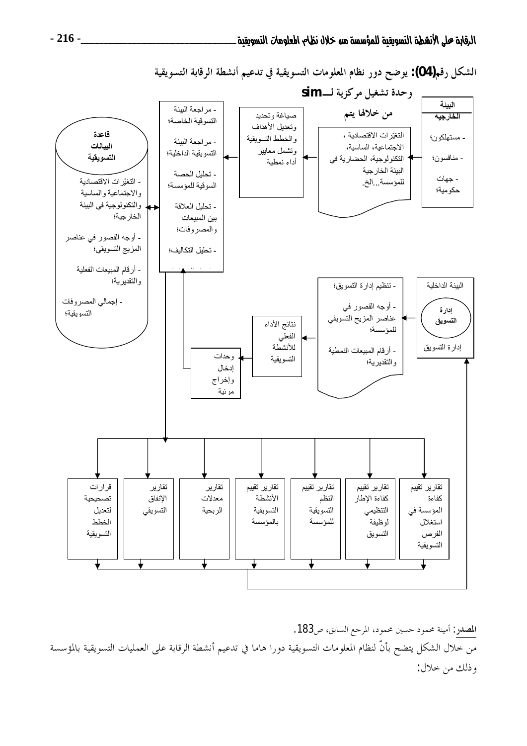

الشكل رقم(04): يوضح دور نظام المعلومات التسويقية في تدعيم أنشطة الرقابة التسويقية

المصدر: أمينة محمود حسين محمود، المرجع السابق، ص183. من خلال الشكل يتضح بأنَّ لنظام المعلومات التسويقية دورا هاما في تدعيم أنشطة الرقابة على العمليات التسويقية بالمؤسسة وذلك من خلال: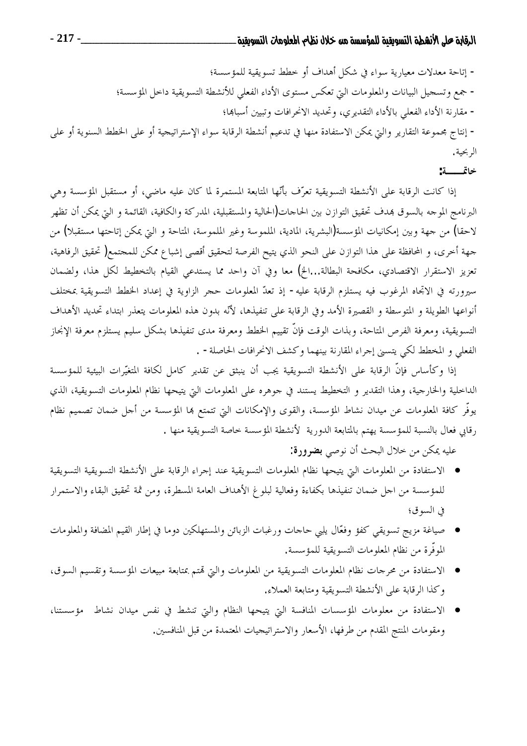– إتاحة معدلات معيارية سواء في شكل أهداف أو خطط تسويقية للمؤسسة؛ – جمع وتسجيل البيانات والمعلومات التي تعكس مستوى الأداء الفعلى للأنشطة التسويقية داخل المؤسسة؛ – مقارنة الأداء الفعلي بالأداء التقديري، وتحديد الانحرافات وتبيين أسباها؛ – إنتاج مجموعة التقارير والتي يمكن الاستفادة منها في تدعيم أنشطة الرقابة سواء الإستراتيجية أو على الخطط السنوية أو على الربحية.

## خاتمـــــة:

إذا كانت الرقابة على الأنشطة التسويقية تعرّف بأنّها المتابعة المستمرة لما كان عليه ماضي، أو مستقبل المؤسسة وهي البرنامج الموحه بالسوق بمدف تحقيق التوازن بين الحاحات(الحالية والمستقبلية، المدركة والكافية، القائمة و التي يمكن أن تظهر لاحقا) من جهة وبين إمكانيات المؤسسة(البشرية، المادية، الملموسة وغير الملموسة، المتاحة و التي يمكن إتاحتها مستقبلا) من جهة أخرى، و المحافظة على هذا التوازن على النحو الذي يتيح الفرصة لتحقيق أقصى إشباع ممكن للمحتمع( تحقيق الرفاهية، تعزيز الاستقرار الاقتصادي، مكافحة البطالة...الخ) معا وفي آن واحد مما يستدعي القيام بالتخطيط لكل هذا، ولضمان سيرورته في الاتجاه المرغوب فيه يستلزم الرقابة عليه- إذ تعدّ المعلومات حجر الزاوية في إعداد الخطط التسويقية بمختلف أنواعها الطويلة و المتوسطة و القصيرة الأمد وفي الرقابة على تنفيذها، لأنّه بدون هذه المعلومات يتعذر ابتداء تحديد الأهداف التسويقية، ومعرفة الفرص المتاحة، وبذات الوقت فإنَّ تقييم الخطط ومعرفة مدى تنفيذها بشكل سليم يستلزم معرفة الإنحاز الفعلي و المخطط لكي يتسنى إجراء المقارنة بينهما وكشف الانحرافات الحاصلة- .

إذا وكأساس فإنَّ الرقابة على الأنشطة التسويقية يجب أن ينبثق عن تقدير كامل لكافة المتغيَّرات البيئية للمؤسسة الداخلية والخارجية، وهذا التقدير و التخطيط يستند في جوهره على المعلومات التي يتيحها نظام المعلومات التسويقية، الذي يوفُّر كافة المعلومات عن ميدان نشاط المؤسسة، والقوى والإمكانات التي تتمتع بما المؤسسة من أجل ضمان تصميم نظام رقابي فعال بالنسبة للمؤسسة يهتم بالمتابعة الدورية لأنشطة المؤسسة خاصة التسويقية منها .

عليه يمكن من حلال البحث أن نوصي **بضرورة:** 

- الاستفادة من المعلومات التي يتيحها نظام المعلومات التسويقية عند إجراء الرقابة على الأنشطة التسويقية التسويقية للمؤسسة من اجل ضمان تنفيذها بكفاءة وفعالية لبلوغ الأهداف العامة المسطرة، ومن ثمة تحقيق البقاء والاستمرار في السوق؛
- صياغة مزيج تسويقي كفؤ وفعّال يلبي حاجات ورغبات الزبائن والمستهلكين دوما في إطار القيم المضافة والمعلومات  $\bullet$ الموفَّرة من نظام المعلومات التسويقية للمؤسسة.
- الاستفادة من محرجات نظام المعلومات التسويقية من المعلومات والتي تمتم بمتابعة مبيعات المؤسسة وتقسيم السوق، وكذا الرقابة على الأنشطة التسويقية ومتابعة العملاء.
- الاستفادة من معلومات المؤسسات المنافسة التي يتيحها النظام والتي تنشط في نفس ميدان نشاط مؤسستنا، ومقومات المنتج المقدم من طرفها، الأسعار والاستراتيجيات المعتمدة من قبل المنافسين.